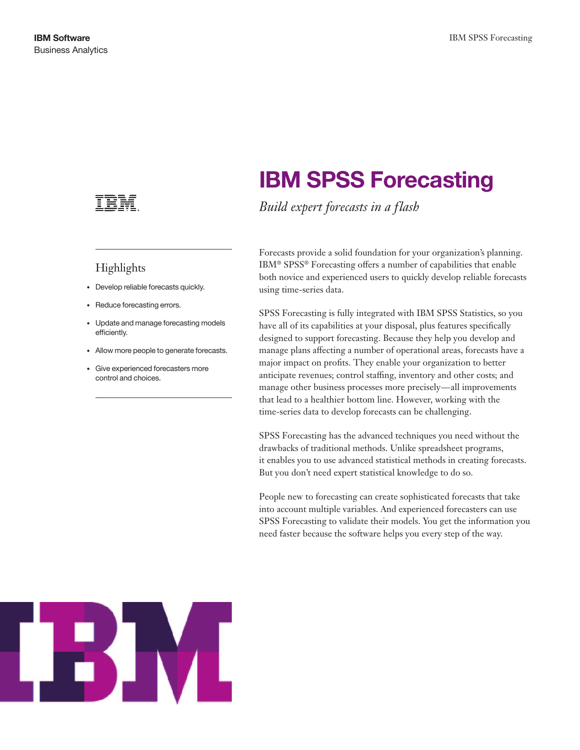### Highlights

- • Develop reliable forecasts quickly.
- Reduce forecasting errors.
- • Update and manage forecasting models efficiently.
- • Allow more people to generate forecasts.
- • Give experienced forecasters more control and choices.

# **IBM SPSS Forecasting**

*Build expert forecasts in a flash* 

Forecasts provide a solid foundation for your organization's planning. IBM® SPSS® Forecasting offers a number of capabilities that enable both novice and experienced users to quickly develop reliable forecasts using time-series data.

SPSS Forecasting is fully integrated with IBM SPSS Statistics, so you have all of its capabilities at your disposal, plus features specifically designed to support forecasting. Because they help you develop and manage plans affecting a number of operational areas, forecasts have a major impact on profits. They enable your organization to better anticipate revenues; control staffing, inventory and other costs; and manage other business processes more precisely—all improvements that lead to a healthier bottom line. However, working with the time-series data to develop forecasts can be challenging.

SPSS Forecasting has the advanced techniques you need without the drawbacks of traditional methods. Unlike spreadsheet programs, it enables you to use advanced statistical methods in creating forecasts. But you don't need expert statistical knowledge to do so.

People new to forecasting can create sophisticated forecasts that take into account multiple variables. And experienced forecasters can use SPSS Forecasting to validate their models. You get the information you need faster because the software helps you every step of the way.

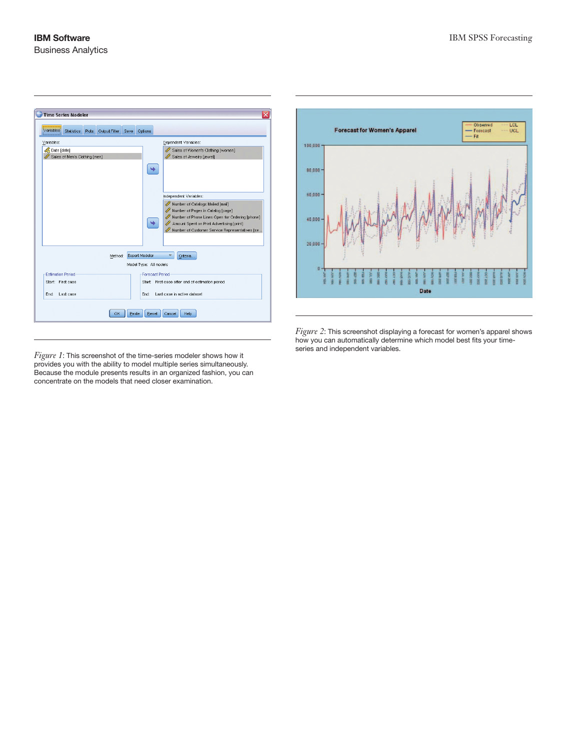

*Figure 1*: This screenshot of the time-series modeler shows how it provides you with the ability to model multiple series simultaneously. Because the module presents results in an organized fashion, you can concentrate on the models that need closer examination.



*Figure 2*: This screenshot displaying a forecast for women's apparel shows how you can automatically determine which model best fits your timeseries and independent variables.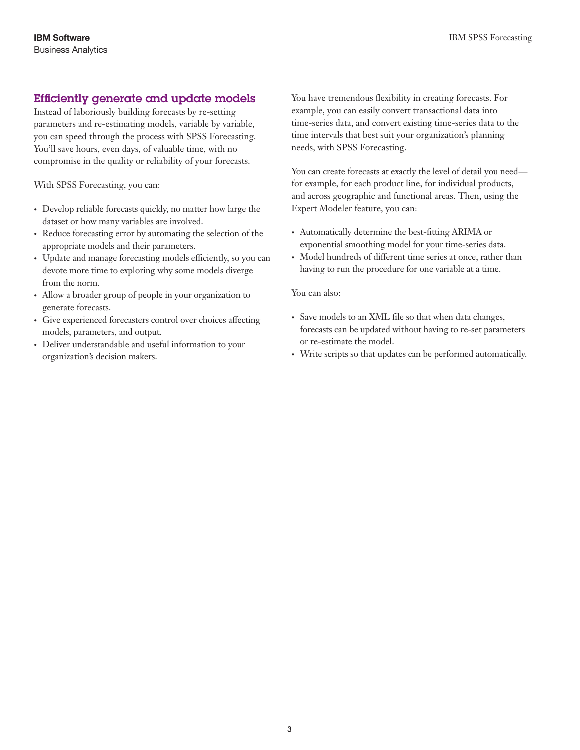#### Efficiently generate and update models

Instead of laboriously building forecasts by re-setting parameters and re-estimating models, variable by variable, you can speed through the process with SPSS Forecasting. You'll save hours, even days, of valuable time, with no compromise in the quality or reliability of your forecasts.

With SPSS Forecasting, you can:

- Develop reliable forecasts quickly, no matter how large the dataset or how many variables are involved.
- Reduce forecasting error by automating the selection of the appropriate models and their parameters.
- • Update and manage forecasting models efficiently, so you can devote more time to exploring why some models diverge from the norm.
- • Allow a broader group of people in your organization to generate forecasts.
- Give experienced forecasters control over choices affecting models, parameters, and output.
- Deliver understandable and useful information to your organization's decision makers.

You have tremendous flexibility in creating forecasts. For example, you can easily convert transactional data into time-series data, and convert existing time-series data to the time intervals that best suit your organization's planning needs, with SPSS Forecasting.

You can create forecasts at exactly the level of detail you need for example, for each product line, for individual products, and across geographic and functional areas. Then, using the Expert Modeler feature, you can:

- • Automatically determine the best-fitting ARIMA or exponential smoothing model for your time-series data.
- • Model hundreds of different time series at once, rather than having to run the procedure for one variable at a time.

You can also:

- • Save models to an XML file so that when data changes, forecasts can be updated without having to re-set parameters or re-estimate the model.
- • Write scripts so that updates can be performed automatically.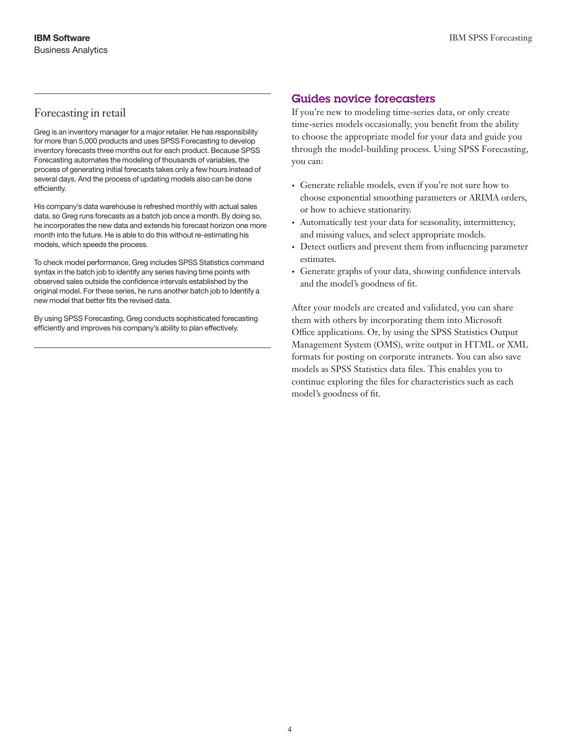#### Forecasting in retail

Greg is an inventory manager for a major retailer. He has responsibility for more than 5,000 products and uses SPSS Forecasting to develop inventory forecasts three months out for each product. Because SPSS Forecasting automates the modeling of thousands of variables, the process of generating initial forecasts takes only a few hours instead of several days. And the process of updating models also can be done efficiently.

His company's data warehouse is refreshed monthly with actual sales data, so Greg runs forecasts as a batch job once a month. By doing so, he incorporates the new data and extends his forecast horizon one more month into the future. He is able to do this without re-estimating his models, which speeds the process.

To check model performance, Greg includes SPSS Statistics command syntax in the batch job to identify any series having time points with observed sales outside the confidence intervals established by the original model. For these series, he runs another batch job to Identify a new model that better fits the revised data.

By using SPSS Forecasting, Greg conducts sophisticated forecasting efficiently and improves his company's ability to plan effectively.

#### Guides novice forecasters

If you're new to modeling time-series data, or only create time-series models occasionally, you benefit from the ability to choose the appropriate model for your data and guide you through the model-building process. Using SPSS Forecasting, you can:

- • Generate reliable models, even if you're not sure how to choose exponential smoothing parameters or ARIMA orders, or how to achieve stationarity.
- • Automatically test your data for seasonality, intermittency, and missing values, and select appropriate models.
- Detect outliers and prevent them from influencing parameter estimates.
- • Generate graphs of your data, showing confidence intervals and the model's goodness of fit.

After your models are created and validated, you can share them with others by incorporating them into Microsoft Office applications. Or, by using the SPSS Statistics Output Management System (OMS), write output in HTML or XML formats for posting on corporate intranets. You can also save models as SPSS Statistics data files. This enables you to continue exploring the files for characteristics such as each model's goodness of fit.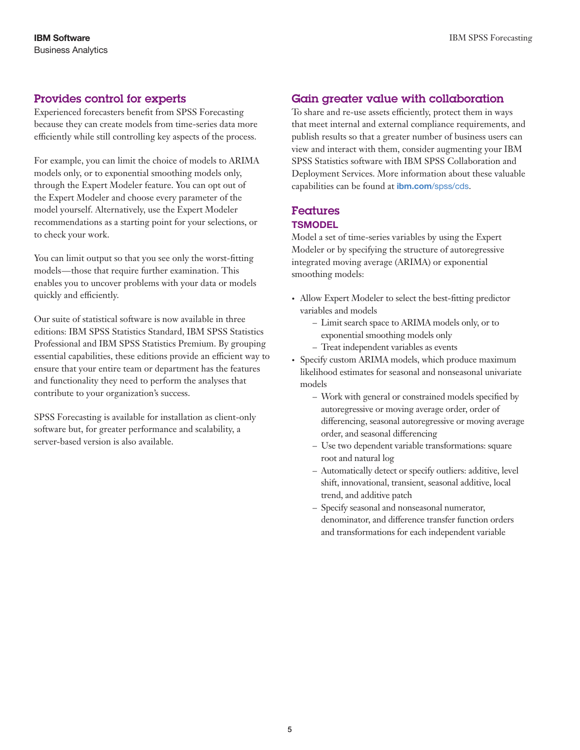#### Provides control for experts

Experienced forecasters benefit from SPSS Forecasting because they can create models from time-series data more efficiently while still controlling key aspects of the process.

For example, you can limit the choice of models to ARIMA models only, or to exponential smoothing models only, through the Expert Modeler feature. You can opt out of the Expert Modeler and choose every parameter of the model yourself. Alternatively, use the Expert Modeler recommendations as a starting point for your selections, or to check your work.

You can limit output so that you see only the worst-fitting models—those that require further examination. This enables you to uncover problems with your data or models quickly and efficiently.

Our suite of statistical software is now available in three editions: IBM SPSS Statistics Standard, IBM SPSS Statistics Professional and IBM SPSS Statistics Premium. By grouping essential capabilities, these editions provide an efficient way to ensure that your entire team or department has the features and functionality they need to perform the analyses that contribute to your organization's success.

SPSS Forecasting is available for installation as client-only software but, for greater performance and scalability, a server-based version is also available.

#### Gain greater value with collaboration

To share and re-use assets efficiently, protect them in ways that meet internal and external compliance requirements, and publish results so that a greater number of business users can view and interact with them, consider augmenting your IBM SPSS Statistics software with IBM SPSS Collaboration and Deployment Services. More information about these valuable capabilities can be found at *ibm.com*[/spss/cds](http://www.ibm.com/software/analytics/spss/products/deployment/cds/).

## Features

#### **TSMODEL**

Model a set of time-series variables by using the Expert Modeler or by specifying the structure of autoregressive integrated moving average (ARIMA) or exponential smoothing models:

- Allow Expert Modeler to select the best-fitting predictor variables and models
	- Limit search space to ARIMA models only, or to exponential smoothing models only
	- Treat independent variables as events
- Specify custom ARIMA models, which produce maximum likelihood estimates for seasonal and nonseasonal univariate models
	- Work with general or constrained models specified by autoregressive or moving average order, order of differencing, seasonal autoregressive or moving average order, and seasonal differencing
	- Use two dependent variable transformations: square root and natural log
	- Automatically detect or specify outliers: additive, level shift, innovational, transient, seasonal additive, local trend, and additive patch
	- Specify seasonal and nonseasonal numerator, denominator, and difference transfer function orders and transformations for each independent variable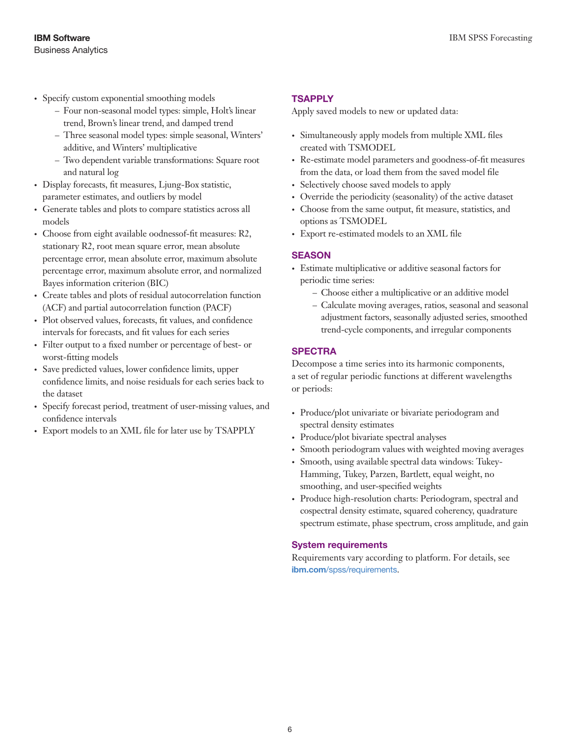- • Specify custom exponential smoothing models
	- Four non-seasonal model types: simple, Holt's linear trend, Brown's linear trend, and damped trend
	- Three seasonal model types: simple seasonal, Winters' additive, and Winters' multiplicative
	- Two dependent variable transformations: Square root and natural log
- Display forecasts, fit measures, Ljung-Box statistic, parameter estimates, and outliers by model
- • Generate tables and plots to compare statistics across all models
- • Choose from eight available oodnessof-fit measures: R2, stationary R2, root mean square error, mean absolute percentage error, mean absolute error, maximum absolute percentage error, maximum absolute error, and normalized Bayes information criterion (BIC)
- • Create tables and plots of residual autocorrelation function (ACF) and partial autocorrelation function (PACF)
- Plot observed values, forecasts, fit values, and confidence intervals for forecasts, and fit values for each series
- • Filter output to a fixed number or percentage of best- or worst-fitting models
- • Save predicted values, lower confidence limits, upper confidence limits, and noise residuals for each series back to the dataset
- • Specify forecast period, treatment of user-missing values, and confidence intervals
- • Export models to an XML file for later use by TSAPPLY

#### **TSAPPLY**

Apply saved models to new or updated data:

- • Simultaneously apply models from multiple XML files created with TSMODEL
- • Re-estimate model parameters and goodness-of-fit measures from the data, or load them from the saved model file
- Selectively choose saved models to apply
- • Override the periodicity (seasonality) of the active dataset
- • Choose from the same output, fit measure, statistics, and options as TSMODEL
- • Export re-estimated models to an XML file

#### **SEASON**

- • Estimate multiplicative or additive seasonal factors for periodic time series:
	- Choose either a multiplicative or an additive model
	- Calculate moving averages, ratios, seasonal and seasonal adjustment factors, seasonally adjusted series, smoothed trend-cycle components, and irregular components

#### **SPECTRA**

Decompose a time series into its harmonic components, a set of regular periodic functions at different wavelengths or periods:

- Produce/plot univariate or bivariate periodogram and spectral density estimates
- Produce/plot bivariate spectral analyses
- Smooth periodogram values with weighted moving averages
- Smooth, using available spectral data windows: Tukey-Hamming, Tukey, Parzen, Bartlett, equal weight, no smoothing, and user-specified weights
- • Produce high-resolution charts: Periodogram, spectral and cospectral density estimate, squared coherency, quadrature spectrum estimate, phase spectrum, cross amplitude, and gain

#### **System requirements**

Requirements vary according to platform. For details, see ibm.com[/spss/requirements](http://www.ibm.com/software/analytics/spss/products/statistics/requirements.html).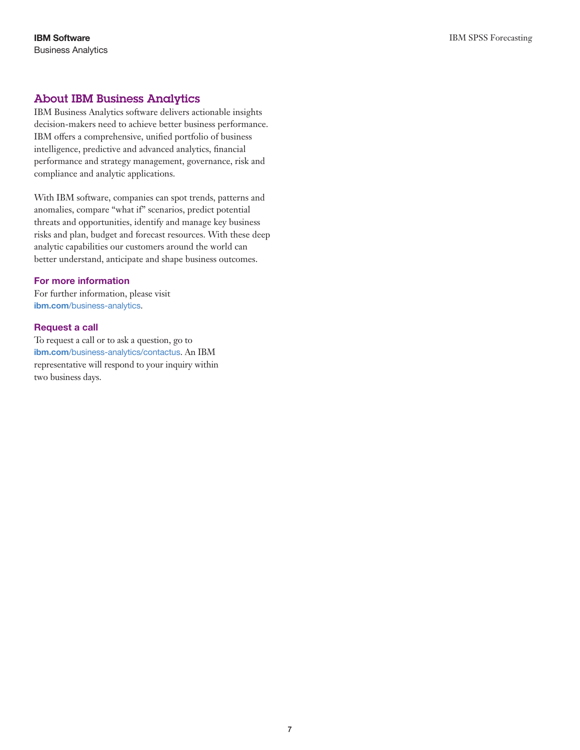#### About IBM Business Analytics

IBM Business Analytics software delivers actionable insights decision-makers need to achieve better business performance. IBM offers a comprehensive, unified portfolio of business intelligence, predictive and advanced analytics, financial performance and strategy management, governance, risk and compliance and analytic applications.

With IBM software, companies can spot trends, patterns and anomalies, compare "what if" scenarios, predict potential threats and opportunities, identify and manage key business risks and plan, budget and forecast resources. With these deep analytic capabilities our customers around the world can better understand, anticipate and shape business outcomes.

#### **For more information**

For further information, please visit ibm.com[/business-analytics](http://www.ibm.com/business-analytics).

#### **Request a call**

To request a call or to ask a question, go to ibm.com[/business-analytics/contactus](http://forms.cognos.com/?elqPURLPage=2300&offid=contactus_ba_collateral&mc=-web_ibm_ba_contactus). An IBM representative will respond to your inquiry within two business days.